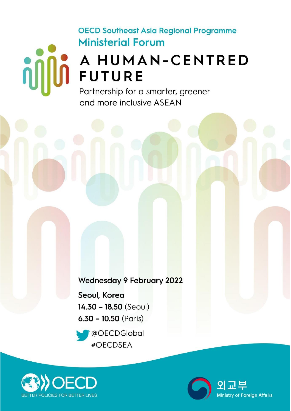# **OECD Southeast Asia Regional Programme Ministerial Forum**

# **A HUMAN-CENTRED**

Partnership for a smarter, greener and more inclusive ASEAN

**Wednesday 9 February 2022** 

Seoul, Korea  $14.30 - 18.50$  (Seoul)  $6.30 - 10.50$  (Paris)





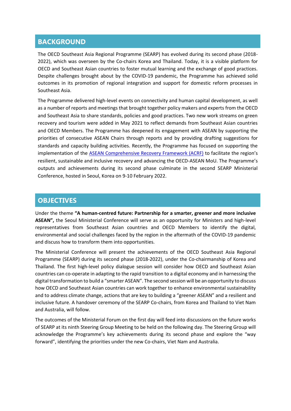## **BACKGROUND**

The OECD Southeast Asia Regional Programme (SEARP) has evolved during its second phase (2018- 2022), which was overseen by the Co-chairs Korea and Thailand. Today, it is a visible platform for OECD and Southeast Asian countries to foster mutual learning and the exchange of good practices. Despite challenges brought about by the COVID-19 pandemic, the Programme has achieved solid outcomes in its promotion of regional integration and support for domestic reform processes in Southeast Asia.

The Programme delivered high-level events on connectivity and human capital development, as well as a number of reports and meetings that brought together policy makers and experts from the OECD and Southeast Asia to share standards, policies and good practices. Two new work streams on green recovery and tourism were added in May 2021 to reflect demands from Southeast Asian countries and OECD Members. The Programme has deepened its engagement with ASEAN by supporting the priorities of consecutive ASEAN Chairs through reports and by providing drafting suggestions for standards and capacity building activities. Recently, the Programme has focused on supporting the implementation of the [ASEAN Comprehensive Recovery Framework](https://asean.org/book/asean-comprehensive-recovery-framework-implementation-plan/) (ACRF) to facilitate the region's resilient, sustainable and inclusive recovery and advancing the OECD-ASEAN MoU. The Programme's outputs and achievements during its second phase culminate in the second SEARP Ministerial Conference, hosted in Seoul, Korea on 9-10 February 2022.

### **OBJECTIVES**

Under the theme **"A human-centred future: Partnership for a smarter, greener and more inclusive ASEAN",** the Seoul Ministerial Conference will serve as an opportunity for Ministers and high-level representatives from Southeast Asian countries and OECD Members to identify the digital, environmental and social challenges faced by the region in the aftermath of the COVID-19 pandemic and discuss how to transform them into opportunities.

The Ministerial Conference will present the achievements of the OECD Southeast Asia Regional Programme (SEARP) during its second phase (2018-2022), under the Co-chairmanship of Korea and Thailand. The first high-level policy dialogue session will consider how OECD and Southeast Asian countries can co-operate in adapting to the rapid transition to a digital economy and in harnessing the digital transformation to build a "smarter ASEAN". The second session will be an opportunity to discuss how OECD and Southeast Asian countries can work together to enhance environmental sustainability and to address climate change, actions that are key to building a "greener ASEAN" and a resilient and inclusive future. A handover ceremony of the SEARP Co-chairs, from Korea and Thailand to Viet Nam and Australia, will follow.

The outcomes of the Ministerial Forum on the first day will feed into discussions on the future works of SEARP at its ninth Steering Group Meeting to be held on the following day. The Steering Group will acknowledge the Programme's key achievements during its second phase and explore the "way forward", identifying the priorities under the new Co-chairs, Viet Nam and Australia.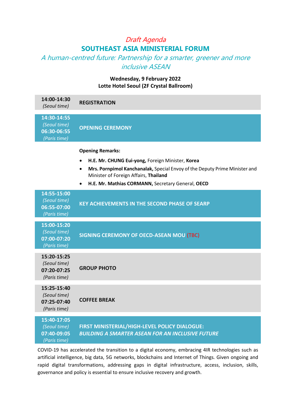# Draft Agenda **SOUTHEAST ASIA MINISTERIAL FORUM**

A human-centred future: Partnership for a smarter, greener and more inclusive ASEAN

#### **Wednesday, 9 February 2022 Lotte Hotel Seoul (2F Crystal Ballroom)**

| 14:00-14:30<br>(Seoul time)                                | <b>REGISTRATION</b>                                                                                                                                                                                                                                     |
|------------------------------------------------------------|---------------------------------------------------------------------------------------------------------------------------------------------------------------------------------------------------------------------------------------------------------|
| 14:30-14:55<br>(Seoul time)<br>06:30-06:55<br>(Paris time) | <b>OPENING CEREMONY</b>                                                                                                                                                                                                                                 |
|                                                            | <b>Opening Remarks:</b><br>H.E. Mr. CHUNG Eui-yong, Foreign Minister, Korea<br>Mrs. Pornpimol Kanchanalak, Special Envoy of the Deputy Prime Minister and<br>Minister of Foreign Affairs, Thailand<br>H.E. Mr. Mathias CORMANN, Secretary General, OECD |
| 14:55-15:00<br>(Seoul time)<br>06:55-07:00<br>(Paris time) | <b>KEY ACHIEVEMENTS IN THE SECOND PHASE OF SEARP</b>                                                                                                                                                                                                    |
| 15:00-15:20<br>(Seoul time)<br>07:00-07:20<br>(Paris time) | SIGNING CEREMONY OF OECD-ASEAN MOU (TBC)                                                                                                                                                                                                                |
| 15:20-15:25<br>(Seoul time)<br>07:20-07:25<br>(Paris time) | <b>GROUP PHOTO</b>                                                                                                                                                                                                                                      |
| 15:25-15:40<br>(Seoul time)<br>07:25-07:40<br>(Paris time) | <b>COFFEE BREAK</b>                                                                                                                                                                                                                                     |
| 15:40-17:05<br>(Seoul time)<br>07:40-09:05<br>(Paris time) | FIRST MINISTERIAL/HIGH-LEVEL POLICY DIALOGUE:<br><b>BUILDING A SMARTER ASEAN FOR AN INCLUSIVE FUTURE</b>                                                                                                                                                |

COVID-19 has accelerated the transition to a digital economy, embracing 4IR technologies such as artificial intelligence, big data, 5G networks, blockchains and Internet of Things. Given ongoing and rapid digital transformations, addressing gaps in digital infrastructure, access, inclusion, skills, governance and policy is essential to ensure inclusive recovery and growth.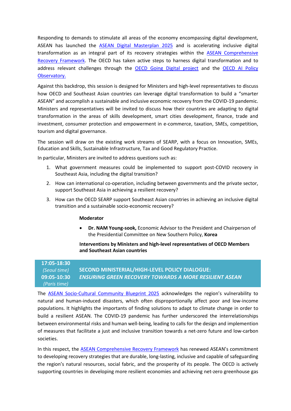Responding to demands to stimulate all areas of the economy encompassing digital development, ASEAN has launched the [ASEAN Digital Masterplan 2025](https://mptc.gov.kh/wp-content/uploads/2021/01/ASEAN-Digital-Masterplan-2025-MPTC-Cambodia.pdf) and is accelerating inclusive digital transformation as an integral part of its recovery strategies within the [ASEAN Comprehensive](https://asean.org/storage/FINAL-ACRF_adopted_37th-ASEAN-Summit_18122020.pdf)  [Recovery Framework.](https://asean.org/storage/FINAL-ACRF_adopted_37th-ASEAN-Summit_18122020.pdf) The OECD has taken active steps to harness digital transformation and to address relevant challenges through the **[OECD Going Digital project](https://www.oecd.org/digital/going-digital-project/)** and the **OECD AI Policy** [Observatory.](https://oecd.ai/)

Against this backdrop, this session is designed for Ministers and high-level representatives to discuss how OECD and Southeast Asian countries can leverage digital transformation to build a "smarter ASEAN" and accomplish a sustainable and inclusive economic recovery from the COVID-19 pandemic. Ministers and representatives will be invited to discuss how their countries are adapting to digital transformation in the areas of skills development, smart cities development, finance, trade and investment, consumer protection and empowerment in e-commerce, taxation, SMEs, competition, tourism and digital governance.

The session will draw on the existing work streams of SEARP, with a focus on Innovation, SMEs, Education and Skills, Sustainable Infrastructure, Tax and Good Regulatory Practice.

In particular, Ministers are invited to address questions such as:

- 1. What government measures could be implemented to support post-COVID recovery in Southeast Asia, including the digital transition?
- 2. How can international co-operation, including between governments and the private sector, support Southeast Asia in achieving a resilient recovery?
- 3. How can the OECD SEARP support Southeast Asian countries in achieving an inclusive digital transition and a sustainable socio-economic recovery?

#### **Moderator**

 **Dr. NAM Young-sook,** Economic Advisor to the President and Chairperson of the Presidential Committee on New Southern Policy, **Korea**

#### **Interventions by Ministers and high-level representatives of OECD Members and Southeast Asian countries**

#### **17:05-18:30** *(Seoul time)* **09:05-10:30** *(Paris time)* **SECOND MINISTERIAL/HIGH-LEVEL POLICY DIALOGUE:**  *ENSURING GREEN RECOVERY TOWARDS A MORE RESILIENT ASEAN*

The [ASEAN Socio-Cultural Community Blueprint 2025](https://www.asean.org/wp-content/uploads/2012/05/8.-March-2016-ASCC-Blueprint-2025.pdf) acknowledges the region's vulnerability to natural and human-induced disasters, which often disproportionally affect poor and low-income populations. It highlights the importants of finding solutions to adapt to climate change in order to build a resilient ASEAN. The COVID-19 pandemic has further underscored the interrelationships between environmental risks and human well-being, leading to calls for the design and implemention of measures that facilitate a just and inclusive transition towards a net-zero future and low-carbon societies.

In this respect, the [ASEAN Comprehensive Recovery Framework](https://asean.org/storage/FINAL-ACRF_adopted_37th-ASEAN-Summit_18122020.pdf) has renewed ASEAN's commitment to developing recovery strategies that are durable, long-lasting, inclusive and capable of safeguarding the region's natural resources, social fabric, and the prosperity of its people. The OECD is actively supporting countries in developing more resilient economies and achieving net-zero greenhouse gas